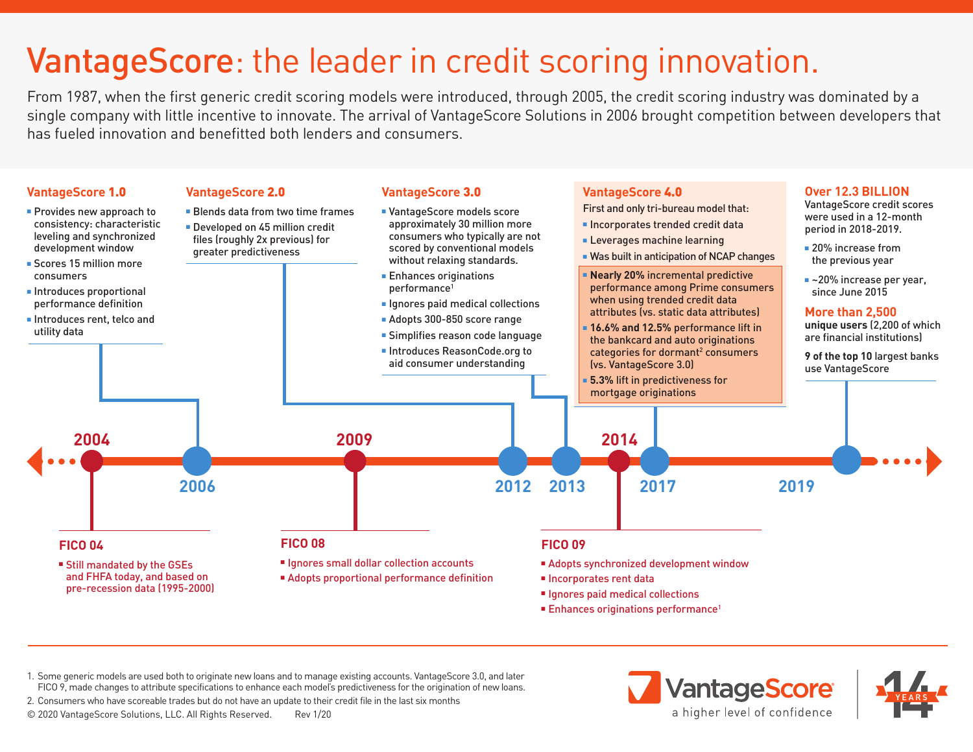## VantageScore: the leader in credit scoring innovation.

From 1987, when the first generic credit scoring models were introduced, through 2005, the credit scoring industry was dominated by a single company with little incentive to innovate. The arrival of VantageScore Solutions in 2006 brought competition between developers that has fueled innovation and benefitted both lenders and consumers.



1. Some generic models are used both to originate new loans and to manage existing accounts. VantageScore 3.0, and later FICO 9, made changes to attribute specifications to enhance each model's predictiveness for the origination of new loans.

2. Consumers who have scoreable trades but do not have an update to their credit file in the last six months

© 2020 VantageScore Solutions, LLC. All Rights Reserved. Rev 1/20

**VantageScore** a higher level of confidence